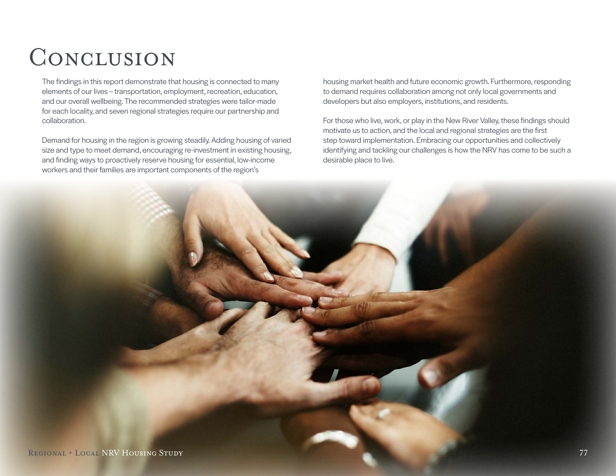## CONCLUSION

The findings in this report demonstrate that housing is connected to many elements of our lives – transportation, employment, recreation, education, and our overall wellbeing. The recommended strategies were tailor-made for each locality, and seven regional strategies require our partnership and collaboration.

Demand for housing in the region is growing steadily. Adding housing of varied size and type to meet demand, encouraging re-investment in existing housing, and finding ways to proactively reserve housing for essential, low-income workers and their families are important components of the region's

housing market health and future economic growth. Furthermore, responding to demand requires collaboration among not only local governments and developers but also employers, institutions, and residents.

For those who live, work, or play in the New River Valley, these findings should motivate us to action, and the local and regional strategies are the first step toward implementation. Embracing our opportunities and collectively identifying and tackling our challenges is how the NRV has come to be such a desirable place to live.